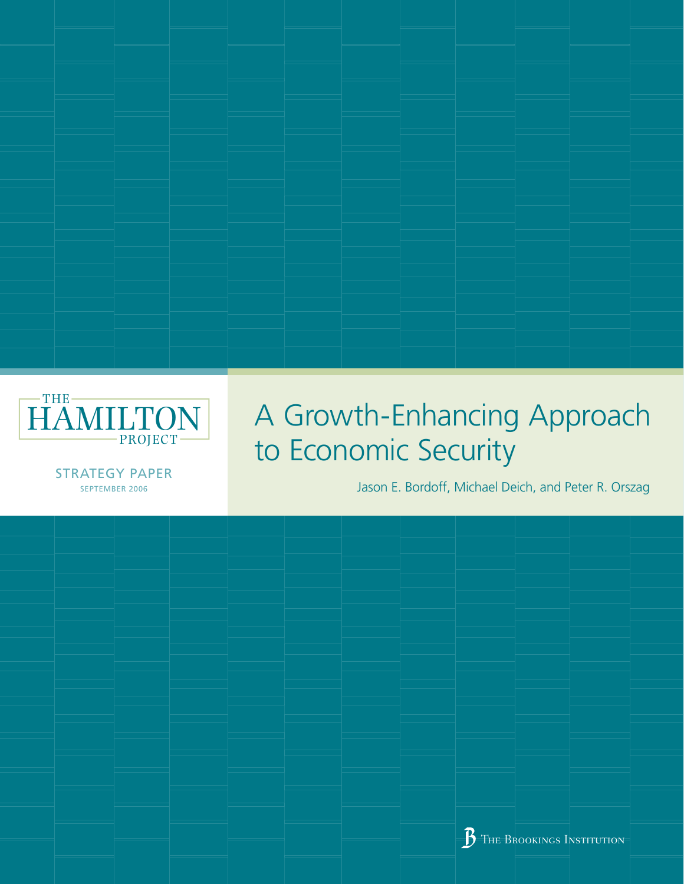

# A Growth-Enhancing Approach to Economic Security

**STRATEGY PAPER** SEPTEMBER 2006

Jason E. Bordoff, Michael Deich, and Peter R. Orszag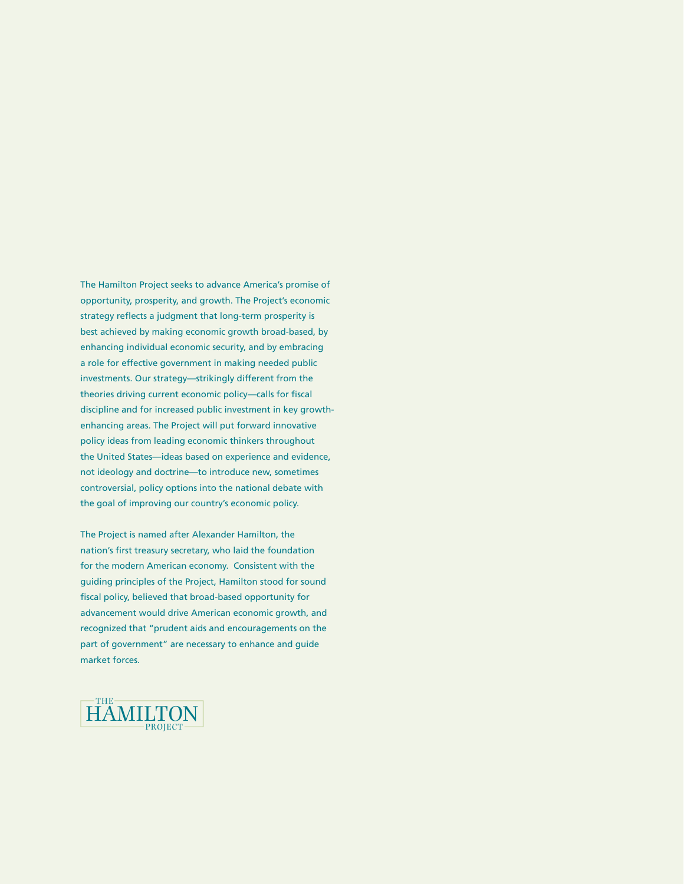The Hamilton Project seeks to advance America's promise of opportunity, prosperity, and growth. The Project's economic strategy reflects a judgment that long-term prosperity is best achieved by making economic growth broad-based, by enhancing individual economic security, and by embracing a role for effective government in making needed public investments. Our strategy—strikingly different from the theories driving current economic policy—calls for fiscal discipline and for increased public investment in key growthenhancing areas. The Project will put forward innovative policy ideas from leading economic thinkers throughout the United States—ideas based on experience and evidence, not ideology and doctrine—to introduce new, sometimes controversial, policy options into the national debate with the goal of improving our country's economic policy.

The Project is named after Alexander Hamilton, the nation's first treasury secretary, who laid the foundation for the modern American economy. Consistent with the guiding principles of the Project, Hamilton stood for sound fiscal policy, believed that broad-based opportunity for advancement would drive American economic growth, and recognized that "prudent aids and encouragements on the part of government" are necessary to enhance and guide market forces.

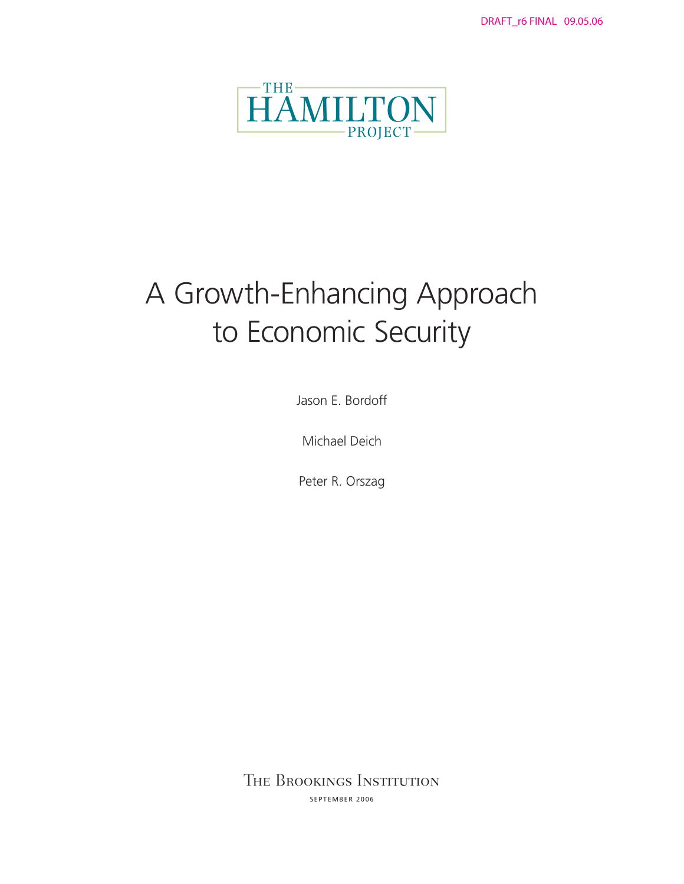

# A Growth-Enhancing Approach to Economic Security

Jason E. Bordoff

Michael Deich

Peter R. Orszag

The Brookings Institution SEPTEMBER 2006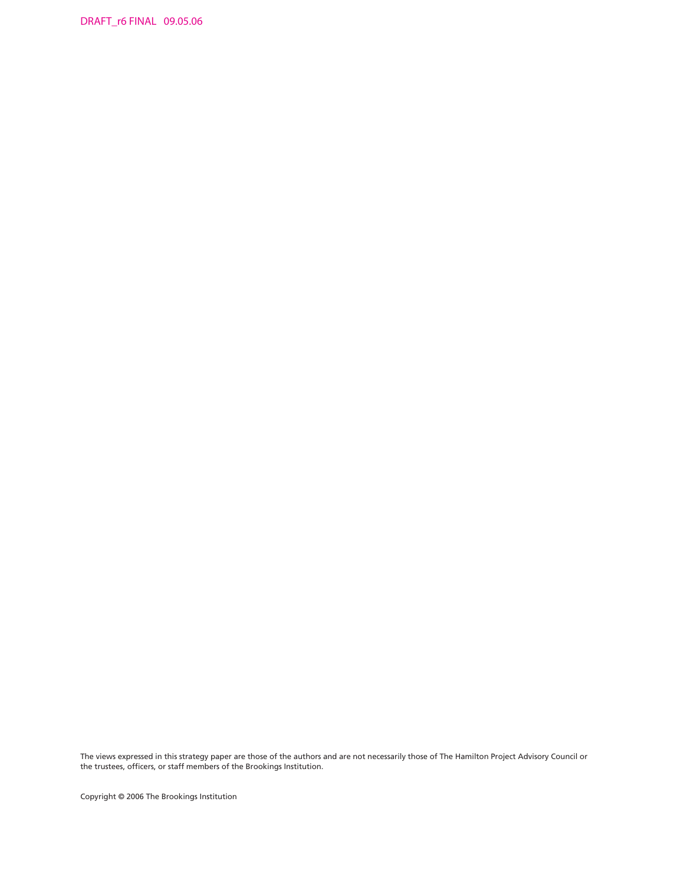DRAFT\_r6 FINAL 09.05.06

The views expressed in this strategy paper are those of the authors and are not necessarily those of The Hamilton Project Advisory Council or the trustees, officers, or staff members of the Brookings Institution.

Copyright © 2006 The Brookings Institution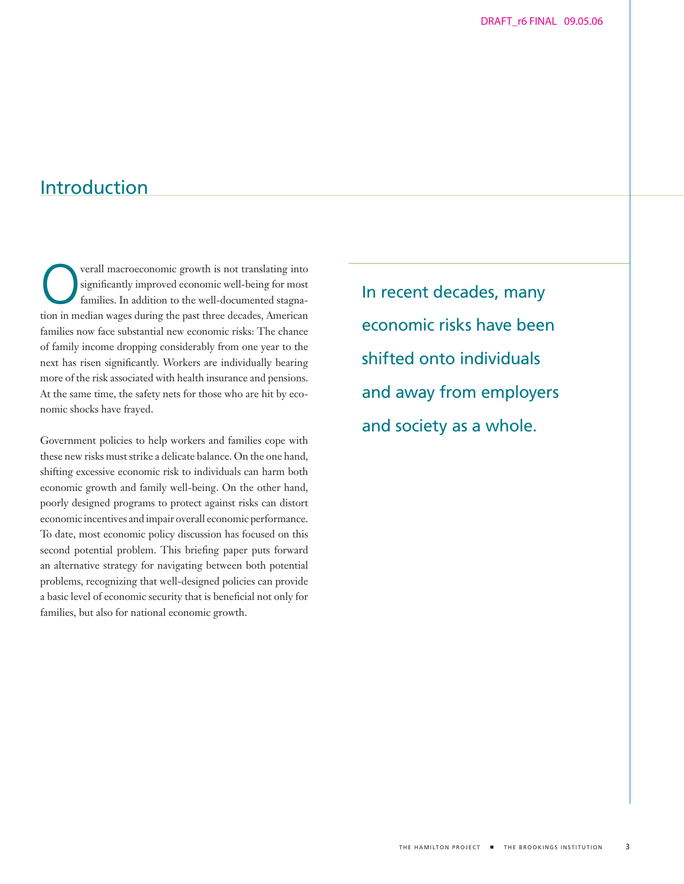# Introduction

Verall macroeconomic growth is not translating into<br>significantly improved economic well-being for most<br>families. In addition to the well-documented stagna-<br>tion in modian wages during the next three deedse American significantly improved economic well-being for most families. In addition to the well-documented stagnation in median wages during the past three decades, American families now face substantial new economic risks: The chance of family income dropping considerably from one year to the next has risen significantly. Workers are individually bearing more of the risk associated with health insurance and pensions. At the same time, the safety nets for those who are hit by economic shocks have frayed.

Government policies to help workers and families cope with these new risks must strike a delicate balance. On the one hand, shifting excessive economic risk to individuals can harm both economic growth and family well-being. On the other hand, poorly designed programs to protect against risks can distort economic incentives and impair overall economic performance. To date, most economic policy discussion has focused on this second potential problem. This briefing paper puts forward an alternative strategy for navigating between both potential problems, recognizing that well-designed policies can provide a basic level of economic security that is beneficial not only for families, but also for national economic growth.

In recent decades, many economic risks have been shifted onto individuals and away from employers and society as a whole.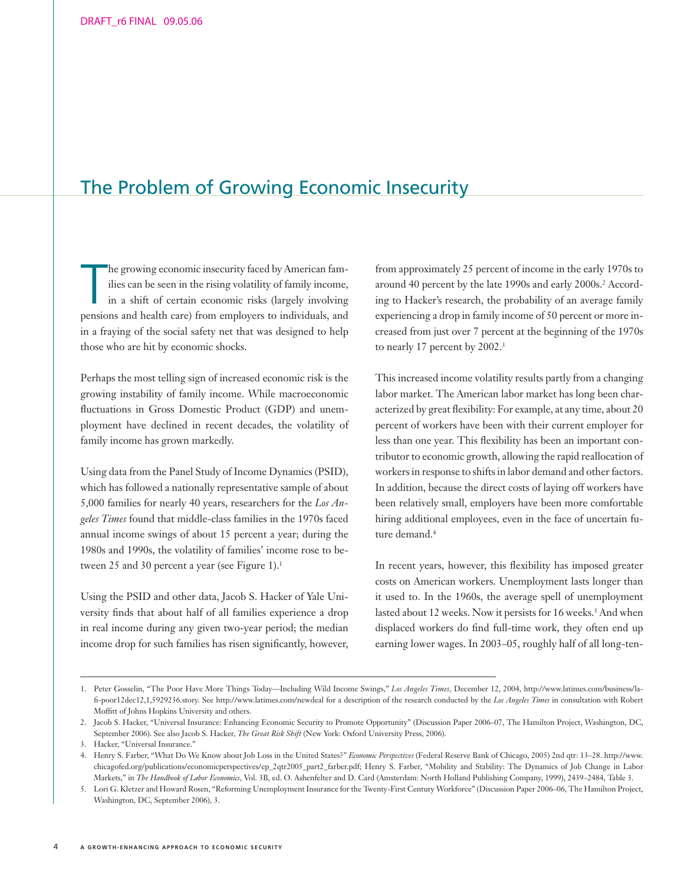# The Problem of Growing Economic Insecurity

he growing economic insecurity faced by American families can be seen in the rising volatility of family income, in a shift of certain economic risks (largely involving pensions and health care) from employers to individua he growing economic insecurity faced by American families can be seen in the rising volatility of family income, in a shift of certain economic risks (largely involving in a fraying of the social safety net that was designed to help those who are hit by economic shocks.

Perhaps the most telling sign of increased economic risk is the growing instability of family income. While macroeconomic fluctuations in Gross Domestic Product (GDP) and unemployment have declined in recent decades, the volatility of family income has grown markedly.

Using data from the Panel Study of Income Dynamics (PSID), which has followed a nationally representative sample of about 5,000 families for nearly 40 years, researchers for the *Los Angeles Times* found that middle-class families in the 1970s faced annual income swings of about 15 percent a year; during the 1980s and 1990s, the volatility of families' income rose to between 25 and 30 percent a year (see Figure 1).<sup>1</sup>

Using the PSID and other data, Jacob S. Hacker of Yale University finds that about half of all families experience a drop in real income during any given two-year period; the median income drop for such families has risen significantly, however,

from approximately 25 percent of income in the early 1970s to around 40 percent by the late 1990s and early 2000s.2 According to Hacker's research, the probability of an average family experiencing a drop in family income of 50 percent or more increased from just over 7 percent at the beginning of the 1970s to nearly 17 percent by 2002.<sup>3</sup>

This increased income volatility results partly from a changing labor market. The American labor market has long been characterized by great flexibility: For example, at any time, about 20 percent of workers have been with their current employer for less than one year. This flexibility has been an important contributor to economic growth, allowing the rapid reallocation of workers in response to shifts in labor demand and other factors. In addition, because the direct costs of laying off workers have been relatively small, employers have been more comfortable hiring additional employees, even in the face of uncertain future demand.<sup>4</sup>

In recent years, however, this flexibility has imposed greater costs on American workers. Unemployment lasts longer than it used to. In the 1960s, the average spell of unemployment lasted about 12 weeks. Now it persists for 16 weeks.<sup>5</sup> And when displaced workers do find full-time work, they often end up earning lower wages. In 2003–05, roughly half of all long-ten-

<sup>1.</sup> Peter Gosselin, "The Poor Have More Things Today—Including Wild Income Swings," *Los Angeles Times,* December 12, 2004, http://www.latimes.com/business/lafi-poor12dec12,1,5929236.story. See http://www.latimes.com/newdeal for a description of the research conducted by the *Los Angeles Times* in consultation with Robert Moffitt of Johns Hopkins University and others.

<sup>2.</sup> Jacob S. Hacker, "Universal Insurance: Enhancing Economic Security to Promote Opportunity" (Discussion Paper 2006–07, The Hamilton Project, Washington, DC, September 2006). See also Jacob S. Hacker, *The Great Risk Shift* (New York: Oxford University Press, 2006).

<sup>3.</sup> Hacker, "Universal Insurance."

<sup>4.</sup> Henry S. Farber, "What Do We Know about Job Loss in the United States?" *Economic Perspectives* (Federal Reserve Bank of Chicago, 2005) 2nd qtr: 13–28. http://www. chicagofed.org/publications/economicperspectives/ep\_2qtr2005\_part2\_farber.pdf; Henry S. Farber, "Mobility and Stability: The Dynamics of Job Change in Labor Markets," in *The Handbook of Labor Economics*, Vol. 3B, ed. O. Ashenfelter and D. Card (Amsterdam: North Holland Publishing Company, 1999), 2439–2484, Table 3.

<sup>5.</sup> Lori G. Kletzer and Howard Rosen, "Reforming Unemployment Insurance for the Twenty-First Century Workforce" (Discussion Paper 2006–06, The Hamilton Project, Washington, DC, September 2006), 3.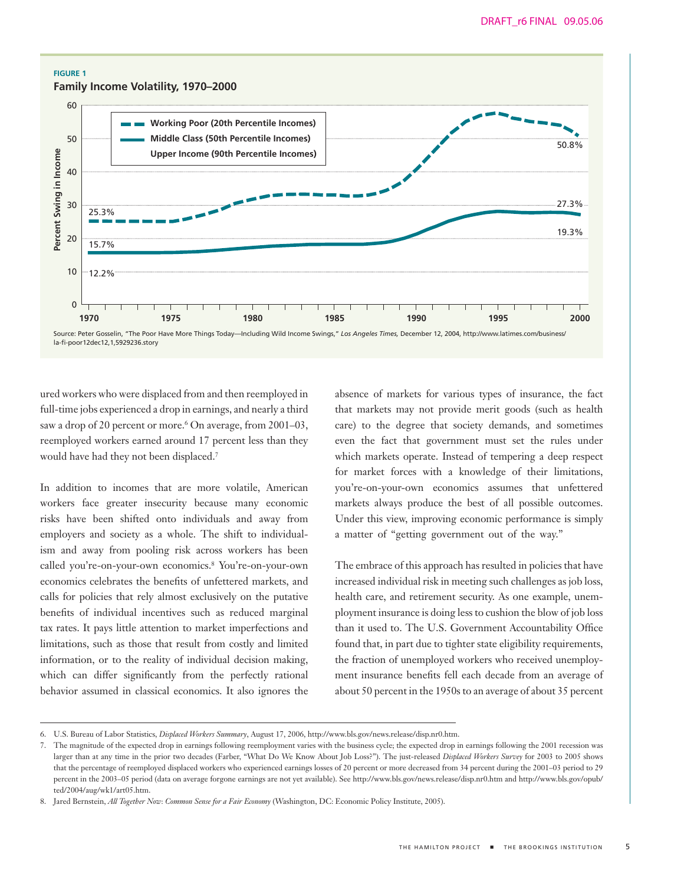#### **FIGURE 1**

## **Family Income Volatility, 1970–2000**



ured workers who were displaced from and then reemployed in full-time jobs experienced a drop in earnings, and nearly a third saw a drop of 20 percent or more.<sup>6</sup> On average, from 2001–03, reemployed workers earned around 17 percent less than they would have had they not been displaced.7

In addition to incomes that are more volatile, American workers face greater insecurity because many economic risks have been shifted onto individuals and away from employers and society as a whole. The shift to individualism and away from pooling risk across workers has been called you're-on-your-own economics.8 You're-on-your-own economics celebrates the benefits of unfettered markets, and calls for policies that rely almost exclusively on the putative benefits of individual incentives such as reduced marginal tax rates. It pays little attention to market imperfections and limitations, such as those that result from costly and limited information, or to the reality of individual decision making, which can differ significantly from the perfectly rational behavior assumed in classical economics. It also ignores the absence of markets for various types of insurance, the fact that markets may not provide merit goods (such as health care) to the degree that society demands, and sometimes even the fact that government must set the rules under which markets operate. Instead of tempering a deep respect for market forces with a knowledge of their limitations, you're-on-your-own economics assumes that unfettered markets always produce the best of all possible outcomes. Under this view, improving economic performance is simply a matter of "getting government out of the way."

The embrace of this approach has resulted in policies that have increased individual risk in meeting such challenges as job loss, health care, and retirement security. As one example, unemployment insurance is doing less to cushion the blow of job loss than it used to. The U.S. Government Accountability Office found that, in part due to tighter state eligibility requirements, the fraction of unemployed workers who received unemployment insurance benefits fell each decade from an average of about 50 percent in the 1950s to an average of about 35 percent

<sup>6.</sup> U.S. Bureau of Labor Statistics, *Displaced Workers Summary*, August 17, 2006, http://www.bls.gov/news.release/disp.nr0.htm.

<sup>7.</sup> The magnitude of the expected drop in earnings following reemployment varies with the business cycle; the expected drop in earnings following the 2001 recession was larger than at any time in the prior two decades (Farber, "What Do We Know About Job Loss?"). The just-released *Displaced Workers Survey* for 2003 to 2005 shows that the percentage of reemployed displaced workers who experienced earnings losses of 20 percent or more decreased from 34 percent during the 2001–03 period to 29 percent in the 2003–05 period (data on average forgone earnings are not yet available). See http://www.bls.gov/news.release/disp.nr0.htm and http://www.bls.gov/opub/ ted/2004/aug/wk1/art05.htm.

<sup>8.</sup> Jared Bernstein, *All Together Now*: *Common Sense for a Fair Economy* (Washington, DC: Economic Policy Institute, 2005).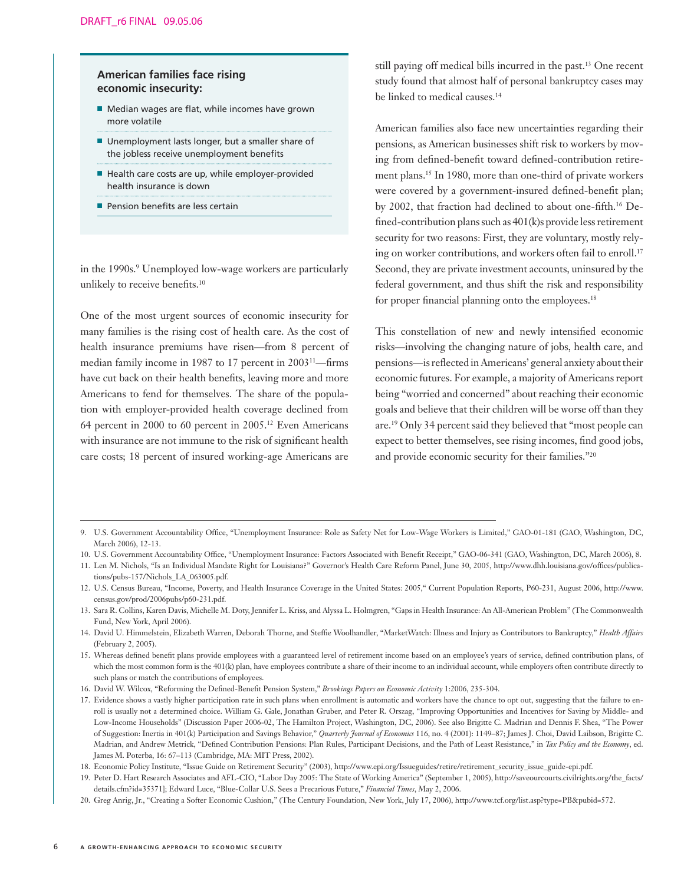## **American families face rising economic insecurity:**

- Median wages are flat, while incomes have grown more volatile
- Unemployment lasts longer, but a smaller share of the jobless receive unemployment benefits
- Health care costs are up, while employer-provided health insurance is down
- Pension benefits are less certain

in the 1990s.<sup>9</sup> Unemployed low-wage workers are particularly unlikely to receive benefits.10

One of the most urgent sources of economic insecurity for many families is the rising cost of health care. As the cost of health insurance premiums have risen—from 8 percent of median family income in 1987 to 17 percent in 200311—firms have cut back on their health benefits, leaving more and more Americans to fend for themselves. The share of the population with employer-provided health coverage declined from 64 percent in 2000 to 60 percent in 2005.12 Even Americans with insurance are not immune to the risk of significant health care costs; 18 percent of insured working-age Americans are

still paying off medical bills incurred in the past.13 One recent study found that almost half of personal bankruptcy cases may be linked to medical causes.<sup>14</sup>

American families also face new uncertainties regarding their pensions, as American businesses shift risk to workers by moving from defined-benefit toward defined-contribution retirement plans.15 In 1980, more than one-third of private workers were covered by a government-insured defined-benefit plan; by 2002, that fraction had declined to about one-fifth.16 Defined-contribution plans such as 401(k)s provide less retirement security for two reasons: First, they are voluntary, mostly relying on worker contributions, and workers often fail to enroll.<sup>17</sup> Second, they are private investment accounts, uninsured by the federal government, and thus shift the risk and responsibility for proper financial planning onto the employees.<sup>18</sup>

This constellation of new and newly intensified economic risks—involving the changing nature of jobs, health care, and pensions—is reflected in Americans' general anxiety about their economic futures. For example, a majority of Americans report being "worried and concerned" about reaching their economic goals and believe that their children will be worse off than they are.19 Only 34 percent said they believed that "most people can expect to better themselves, see rising incomes, find good jobs, and provide economic security for their families."20

11. Len M. Nichols, "Is an Individual Mandate Right for Louisiana?" Governor's Health Care Reform Panel, June 30, 2005, http://www.dhh.louisiana.gov/offices/publications/pubs-157/Nichols\_LA\_063005.pdf.

12. U.S. Census Bureau, "Income, Poverty, and Health Insurance Coverage in the United States: 2005," Current Population Reports, P60-231, August 2006, http://www. census.gov/prod/2006pubs/p60-231.pdf.

<sup>9.</sup> U.S. Government Accountability Office, "Unemployment Insurance: Role as Safety Net for Low-Wage Workers is Limited," GAO-01-181 (GAO, Washington, DC, March 2006), 12-13.

<sup>10.</sup> U.S. Government Accountability Office, "Unemployment Insurance: Factors Associated with Benefit Receipt," GAO-06-341 (GAO, Washington, DC, March 2006), 8.

<sup>13.</sup> Sara R. Collins, Karen Davis, Michelle M. Doty, Jennifer L. Kriss, and Alyssa L. Holmgren, "Gaps in Health Insurance: An All-American Problem" (The Commonwealth Fund, New York, April 2006).

<sup>14.</sup> David U. Himmelstein, Elizabeth Warren, Deborah Thorne, and Steffie Woolhandler, "MarketWatch: Illness and Injury as Contributors to Bankruptcy," *Health Affairs*  (February 2, 2005).

<sup>15.</sup> Whereas defined benefit plans provide employees with a guaranteed level of retirement income based on an employee's years of service, defined contribution plans, of which the most common form is the 401(k) plan, have employees contribute a share of their income to an individual account, while employers often contribute directly to such plans or match the contributions of employees.

<sup>16.</sup> David W. Wilcox, "Reforming the Defined-Benefit Pension System," *Brookings Papers on Economic Activity* 1:2006, 235-304.

<sup>17.</sup> Evidence shows a vastly higher participation rate in such plans when enrollment is automatic and workers have the chance to opt out, suggesting that the failure to enroll is usually not a determined choice. William G. Gale, Jonathan Gruber, and Peter R. Orszag, "Improving Opportunities and Incentives for Saving by Middle- and Low-Income Households" (Discussion Paper 2006-02, The Hamilton Project, Washington, DC, 2006). See also Brigitte C. Madrian and Dennis F. Shea, "The Power of Suggestion: Inertia in 401(k) Participation and Savings Behavior," *Quarterly Journal of Economics* 116, no. 4 (2001): 1149–87; James J. Choi, David Laibson, Brigitte C. Madrian, and Andrew Metrick, "Defined Contribution Pensions: Plan Rules, Participant Decisions, and the Path of Least Resistance," in *Tax Policy and the Economy*, ed. James M. Poterba, 16: 67–113 (Cambridge, MA: MIT Press, 2002).

<sup>18.</sup> Economic Policy Institute, "Issue Guide on Retirement Security" (2003), http://www.epi.org/Issueguides/retire/retirement\_security\_issue\_guide-epi.pdf.

<sup>19.</sup> Peter D. Hart Research Associates and AFL-CIO, "Labor Day 2005: The State of Working America" (September 1, 2005), http://saveourcourts.civilrights.org/the\_facts/ details.cfm?id=35371]; Edward Luce, "Blue-Collar U.S. Sees a Precarious Future," *Financial Times*, May 2, 2006.

<sup>20.</sup> Greg Anrig, Jr., "Creating a Softer Economic Cushion," (The Century Foundation, New York, July 17, 2006), http://www.tcf.org/list.asp?type=PB&pubid=572.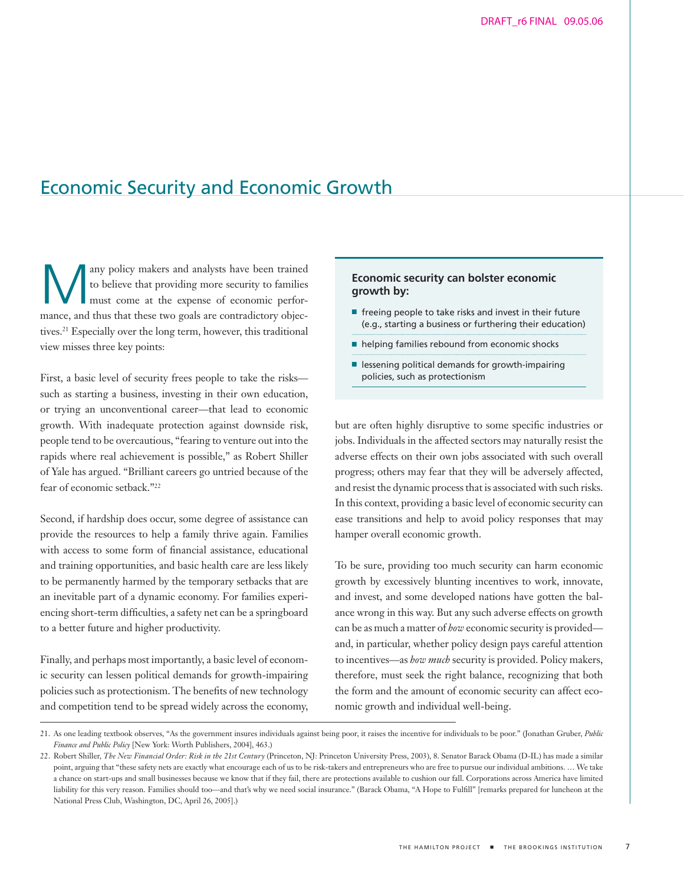# Economic Security and Economic Growth

any policy makers and analysts have been trained to believe that providing more security to families must come at the expense of economic performance, and thus that these two goals are contradictory objectives.21 Especially over the long term, however, this traditional view misses three key points:

First, a basic level of security frees people to take the risks such as starting a business, investing in their own education, or trying an unconventional career—that lead to economic growth. With inadequate protection against downside risk, people tend to be overcautious, "fearing to venture out into the rapids where real achievement is possible," as Robert Shiller of Yale has argued. "Brilliant careers go untried because of the fear of economic setback."22

Second, if hardship does occur, some degree of assistance can provide the resources to help a family thrive again. Families with access to some form of financial assistance, educational and training opportunities, and basic health care are less likely to be permanently harmed by the temporary setbacks that are an inevitable part of a dynamic economy. For families experiencing short-term difficulties, a safety net can be a springboard to a better future and higher productivity.

Finally, and perhaps most importantly, a basic level of economic security can lessen political demands for growth-impairing policies such as protectionism. The benefits of new technology and competition tend to be spread widely across the economy,

## **Economic security can bolster economic growth by:**

- freeing people to take risks and invest in their future (e.g., starting a business or furthering their education)
- helping families rebound from economic shocks
- lessening political demands for growth-impairing policies, such as protectionism

but are often highly disruptive to some specific industries or jobs. Individuals in the affected sectors may naturally resist the adverse effects on their own jobs associated with such overall progress; others may fear that they will be adversely affected, and resist the dynamic process that is associated with such risks. In this context, providing a basic level of economic security can ease transitions and help to avoid policy responses that may hamper overall economic growth.

To be sure, providing too much security can harm economic growth by excessively blunting incentives to work, innovate, and invest, and some developed nations have gotten the balance wrong in this way. But any such adverse effects on growth can be as much a matter of *how* economic security is provided and, in particular, whether policy design pays careful attention to incentives—as *how much* security is provided. Policy makers, therefore, must seek the right balance, recognizing that both the form and the amount of economic security can affect economic growth and individual well-being.

<sup>21.</sup> As one leading textbook observes, "As the government insures individuals against being poor, it raises the incentive for individuals to be poor." (Jonathan Gruber, *Public Finance and Public Policy* [New York: Worth Publishers, 2004], 463.)

<sup>22.</sup> Robert Shiller, *The New Financial Order: Risk in the 21st Century* (Princeton, NJ: Princeton University Press, 2003), 8. Senator Barack Obama (D-IL) has made a similar point, arguing that "these safety nets are exactly what encourage each of us to be risk-takers and entrepreneurs who are free to pursue our individual ambitions. … We take a chance on start-ups and small businesses because we know that if they fail, there are protections available to cushion our fall. Corporations across America have limited liability for this very reason. Families should too—and that's why we need social insurance." (Barack Obama, "A Hope to Fulfill" [remarks prepared for luncheon at the National Press Club, Washington, DC, April 26, 2005].)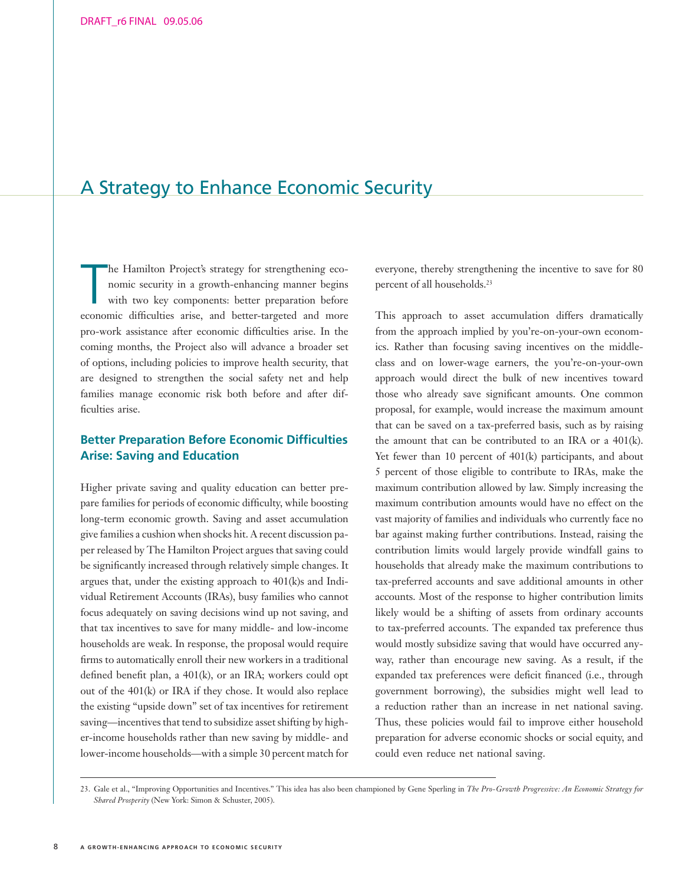# A Strategy to Enhance Economic Security

The Hamilton Project's strategy for strengthening economic security in a growth-enhancing manner begins with two key components: better preparation before economic difficulties arise, and better-targeted and more he Hamilton Project's strategy for strengthening economic security in a growth-enhancing manner begins with two key components: better preparation before pro-work assistance after economic difficulties arise. In the coming months, the Project also will advance a broader set of options, including policies to improve health security, that are designed to strengthen the social safety net and help families manage economic risk both before and after difficulties arise.

# **Better Preparation Before Economic Difficulties Arise: Saving and Education**

Higher private saving and quality education can better prepare families for periods of economic difficulty, while boosting long-term economic growth. Saving and asset accumulation give families a cushion when shocks hit. A recent discussion paper released by The Hamilton Project argues that saving could be significantly increased through relatively simple changes. It argues that, under the existing approach to 401(k)s and Individual Retirement Accounts (IRAs), busy families who cannot focus adequately on saving decisions wind up not saving, and that tax incentives to save for many middle- and low-income households are weak. In response, the proposal would require firms to automatically enroll their new workers in a traditional defined benefit plan, a 401(k), or an IRA; workers could opt out of the 401(k) or IRA if they chose. It would also replace the existing "upside down" set of tax incentives for retirement saving—incentives that tend to subsidize asset shifting by higher-income households rather than new saving by middle- and lower-income households—with a simple 30 percent match for

everyone, thereby strengthening the incentive to save for 80 percent of all households.23

This approach to asset accumulation differs dramatically from the approach implied by you're-on-your-own economics. Rather than focusing saving incentives on the middleclass and on lower-wage earners, the you're-on-your-own approach would direct the bulk of new incentives toward those who already save significant amounts. One common proposal, for example, would increase the maximum amount that can be saved on a tax-preferred basis, such as by raising the amount that can be contributed to an IRA or a 401(k). Yet fewer than 10 percent of 401(k) participants, and about 5 percent of those eligible to contribute to IRAs, make the maximum contribution allowed by law. Simply increasing the maximum contribution amounts would have no effect on the vast majority of families and individuals who currently face no bar against making further contributions. Instead, raising the contribution limits would largely provide windfall gains to households that already make the maximum contributions to tax-preferred accounts and save additional amounts in other accounts. Most of the response to higher contribution limits likely would be a shifting of assets from ordinary accounts to tax-preferred accounts. The expanded tax preference thus would mostly subsidize saving that would have occurred anyway, rather than encourage new saving. As a result, if the expanded tax preferences were deficit financed (i.e., through government borrowing), the subsidies might well lead to a reduction rather than an increase in net national saving. Thus, these policies would fail to improve either household preparation for adverse economic shocks or social equity, and could even reduce net national saving.

<sup>23.</sup> Gale et al., "Improving Opportunities and Incentives." This idea has also been championed by Gene Sperling in *The Pro-Growth Progressive: An Economic Strategy for Shared Prosperity* (New York: Simon & Schuster, 2005).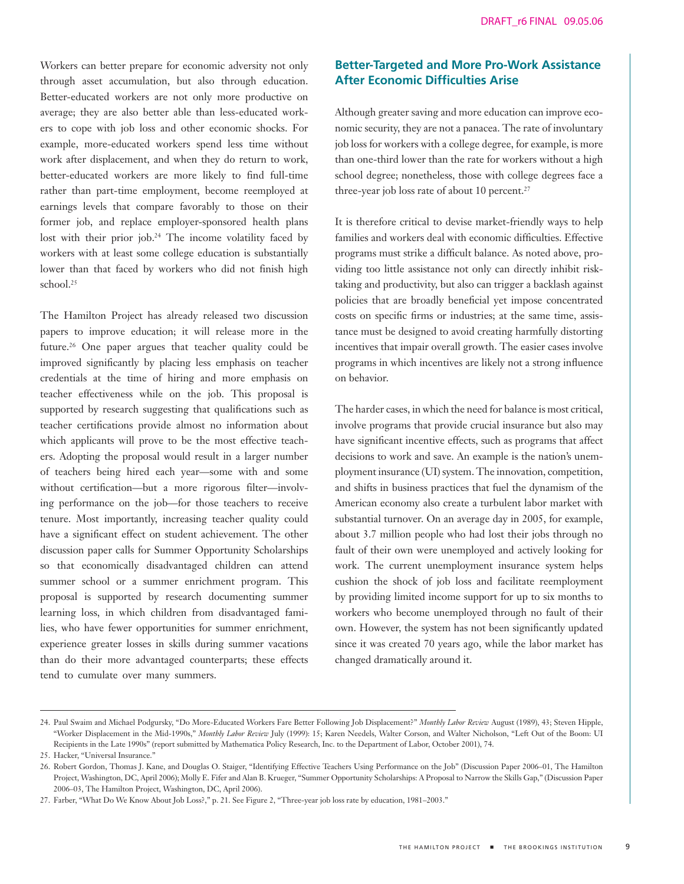Workers can better prepare for economic adversity not only through asset accumulation, but also through education. Better-educated workers are not only more productive on average; they are also better able than less-educated workers to cope with job loss and other economic shocks. For example, more-educated workers spend less time without work after displacement, and when they do return to work, better-educated workers are more likely to find full-time rather than part-time employment, become reemployed at earnings levels that compare favorably to those on their former job, and replace employer-sponsored health plans lost with their prior job.24 The income volatility faced by workers with at least some college education is substantially lower than that faced by workers who did not finish high school.25

The Hamilton Project has already released two discussion papers to improve education; it will release more in the future.26 One paper argues that teacher quality could be improved significantly by placing less emphasis on teacher credentials at the time of hiring and more emphasis on teacher effectiveness while on the job. This proposal is supported by research suggesting that qualifications such as teacher certifications provide almost no information about which applicants will prove to be the most effective teachers. Adopting the proposal would result in a larger number of teachers being hired each year—some with and some without certification—but a more rigorous filter—involving performance on the job—for those teachers to receive tenure. Most importantly, increasing teacher quality could have a significant effect on student achievement. The other discussion paper calls for Summer Opportunity Scholarships so that economically disadvantaged children can attend summer school or a summer enrichment program. This proposal is supported by research documenting summer learning loss, in which children from disadvantaged families, who have fewer opportunities for summer enrichment, experience greater losses in skills during summer vacations than do their more advantaged counterparts; these effects tend to cumulate over many summers.

# **Better-Targeted and More Pro-Work Assistance After Economic Difficulties Arise**

Although greater saving and more education can improve economic security, they are not a panacea. The rate of involuntary job loss for workers with a college degree, for example, is more than one-third lower than the rate for workers without a high school degree; nonetheless, those with college degrees face a three-year job loss rate of about 10 percent.<sup>27</sup>

It is therefore critical to devise market-friendly ways to help families and workers deal with economic difficulties. Effective programs must strike a difficult balance. As noted above, providing too little assistance not only can directly inhibit risktaking and productivity, but also can trigger a backlash against policies that are broadly beneficial yet impose concentrated costs on specific firms or industries; at the same time, assistance must be designed to avoid creating harmfully distorting incentives that impair overall growth. The easier cases involve programs in which incentives are likely not a strong influence on behavior.

The harder cases, in which the need for balance is most critical, involve programs that provide crucial insurance but also may have significant incentive effects, such as programs that affect decisions to work and save. An example is the nation's unemployment insurance (UI) system. The innovation, competition, and shifts in business practices that fuel the dynamism of the American economy also create a turbulent labor market with substantial turnover. On an average day in 2005, for example, about 3.7 million people who had lost their jobs through no fault of their own were unemployed and actively looking for work. The current unemployment insurance system helps cushion the shock of job loss and facilitate reemployment by providing limited income support for up to six months to workers who become unemployed through no fault of their own. However, the system has not been significantly updated since it was created 70 years ago, while the labor market has changed dramatically around it.

<sup>24.</sup> Paul Swaim and Michael Podgursky, "Do More-Educated Workers Fare Better Following Job Displacement?" *Monthly Labor Review* August (1989), 43; Steven Hipple, "Worker Displacement in the Mid-1990s," *Monthly Labor Review* July (1999): 15; Karen Needels, Walter Corson, and Walter Nicholson, "Left Out of the Boom: UI Recipients in the Late 1990s" (report submitted by Mathematica Policy Research, Inc. to the Department of Labor, October 2001), 74.

<sup>25.</sup> Hacker, "Universal Insurance."

<sup>26.</sup> Robert Gordon, Thomas J. Kane, and Douglas O. Staiger, "Identifying Effective Teachers Using Performance on the Job" (Discussion Paper 2006–01, The Hamilton Project, Washington, DC, April 2006); Molly E. Fifer and Alan B. Krueger, "Summer Opportunity Scholarships: A Proposal to Narrow the Skills Gap," (Discussion Paper 2006–03, The Hamilton Project, Washington, DC, April 2006).

<sup>27.</sup> Farber, "What Do We Know About Job Loss?," p. 21. See Figure 2, "Three-year job loss rate by education, 1981–2003."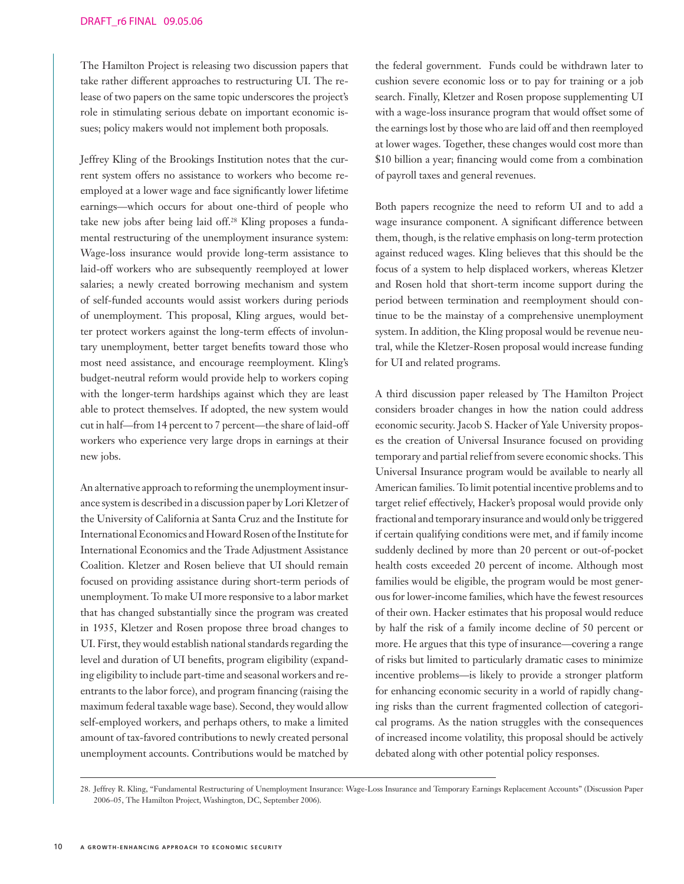The Hamilton Project is releasing two discussion papers that take rather different approaches to restructuring UI. The release of two papers on the same topic underscores the project's role in stimulating serious debate on important economic issues; policy makers would not implement both proposals.

Jeffrey Kling of the Brookings Institution notes that the current system offers no assistance to workers who become reemployed at a lower wage and face significantly lower lifetime earnings—which occurs for about one-third of people who take new jobs after being laid off.28 Kling proposes a fundamental restructuring of the unemployment insurance system: Wage-loss insurance would provide long-term assistance to laid-off workers who are subsequently reemployed at lower salaries; a newly created borrowing mechanism and system of self-funded accounts would assist workers during periods of unemployment. This proposal, Kling argues, would better protect workers against the long-term effects of involuntary unemployment, better target benefits toward those who most need assistance, and encourage reemployment. Kling's budget-neutral reform would provide help to workers coping with the longer-term hardships against which they are least able to protect themselves. If adopted, the new system would cut in half—from 14 percent to 7 percent—the share of laid-off workers who experience very large drops in earnings at their new jobs.

An alternative approach to reforming the unemployment insurance system is described in a discussion paper by Lori Kletzer of the University of California at Santa Cruz and the Institute for International Economics and Howard Rosen of the Institute for International Economics and the Trade Adjustment Assistance Coalition. Kletzer and Rosen believe that UI should remain focused on providing assistance during short-term periods of unemployment. To make UI more responsive to a labor market that has changed substantially since the program was created in 1935, Kletzer and Rosen propose three broad changes to UI. First, they would establish national standards regarding the level and duration of UI benefits, program eligibility (expanding eligibility to include part-time and seasonal workers and reentrants to the labor force), and program financing (raising the maximum federal taxable wage base). Second, they would allow self-employed workers, and perhaps others, to make a limited amount of tax-favored contributions to newly created personal unemployment accounts. Contributions would be matched by

the federal government. Funds could be withdrawn later to cushion severe economic loss or to pay for training or a job search. Finally, Kletzer and Rosen propose supplementing UI with a wage-loss insurance program that would offset some of the earnings lost by those who are laid off and then reemployed at lower wages. Together, these changes would cost more than \$10 billion a year; financing would come from a combination of payroll taxes and general revenues.

Both papers recognize the need to reform UI and to add a wage insurance component. A significant difference between them, though, is the relative emphasis on long-term protection against reduced wages. Kling believes that this should be the focus of a system to help displaced workers, whereas Kletzer and Rosen hold that short-term income support during the period between termination and reemployment should continue to be the mainstay of a comprehensive unemployment system. In addition, the Kling proposal would be revenue neutral, while the Kletzer-Rosen proposal would increase funding for UI and related programs.

A third discussion paper released by The Hamilton Project considers broader changes in how the nation could address economic security. Jacob S. Hacker of Yale University proposes the creation of Universal Insurance focused on providing temporary and partial relief from severe economic shocks. This Universal Insurance program would be available to nearly all American families. To limit potential incentive problems and to target relief effectively, Hacker's proposal would provide only fractional and temporary insurance and would only be triggered if certain qualifying conditions were met, and if family income suddenly declined by more than 20 percent or out-of-pocket health costs exceeded 20 percent of income. Although most families would be eligible, the program would be most generous for lower-income families, which have the fewest resources of their own. Hacker estimates that his proposal would reduce by half the risk of a family income decline of 50 percent or more. He argues that this type of insurance—covering a range of risks but limited to particularly dramatic cases to minimize incentive problems—is likely to provide a stronger platform for enhancing economic security in a world of rapidly changing risks than the current fragmented collection of categorical programs. As the nation struggles with the consequences of increased income volatility, this proposal should be actively debated along with other potential policy responses.

<sup>28.</sup> Jeffrey R. Kling, "Fundamental Restructuring of Unemployment Insurance: Wage-Loss Insurance and Temporary Earnings Replacement Accounts" (Discussion Paper 2006–05, The Hamilton Project, Washington, DC, September 2006).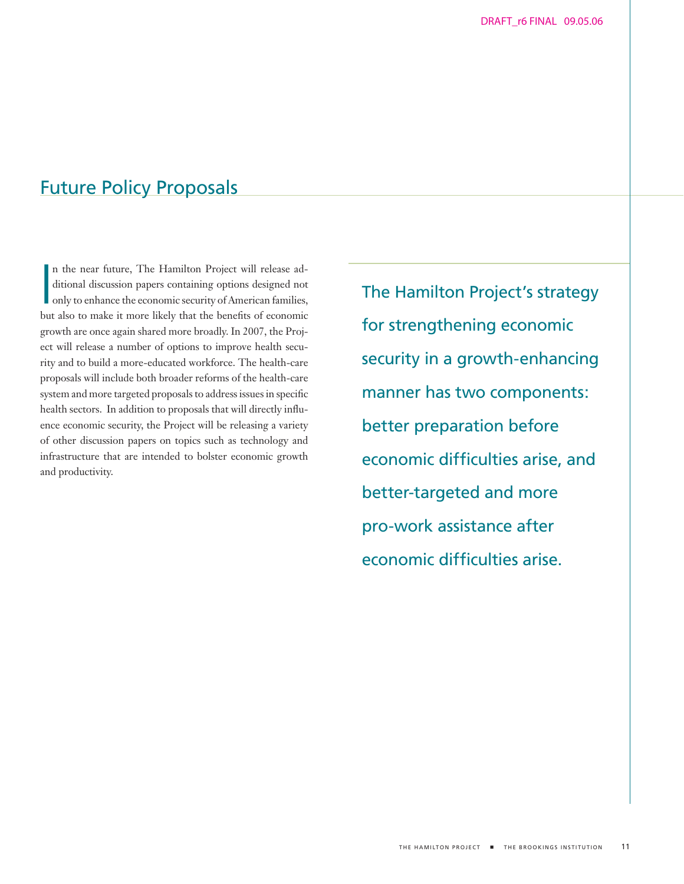# Future Policy Proposals

In the near future, The Hamilton Project will release additional discussion papers containing options designed not only to enhance the economic security of American families, but also to make it more likely that the benefi n the near future, The Hamilton Project will release additional discussion papers containing options designed not only to enhance the economic security of American families, growth are once again shared more broadly. In 2007, the Project will release a number of options to improve health security and to build a more-educated workforce. The health-care proposals will include both broader reforms of the health-care system and more targeted proposals to address issues in specific health sectors. In addition to proposals that will directly influence economic security, the Project will be releasing a variety of other discussion papers on topics such as technology and infrastructure that are intended to bolster economic growth and productivity.

The Hamilton Project's strategy for strengthening economic security in a growth-enhancing manner has two components: better preparation before economic difficulties arise, and better-targeted and more pro-work assistance after economic difficulties arise.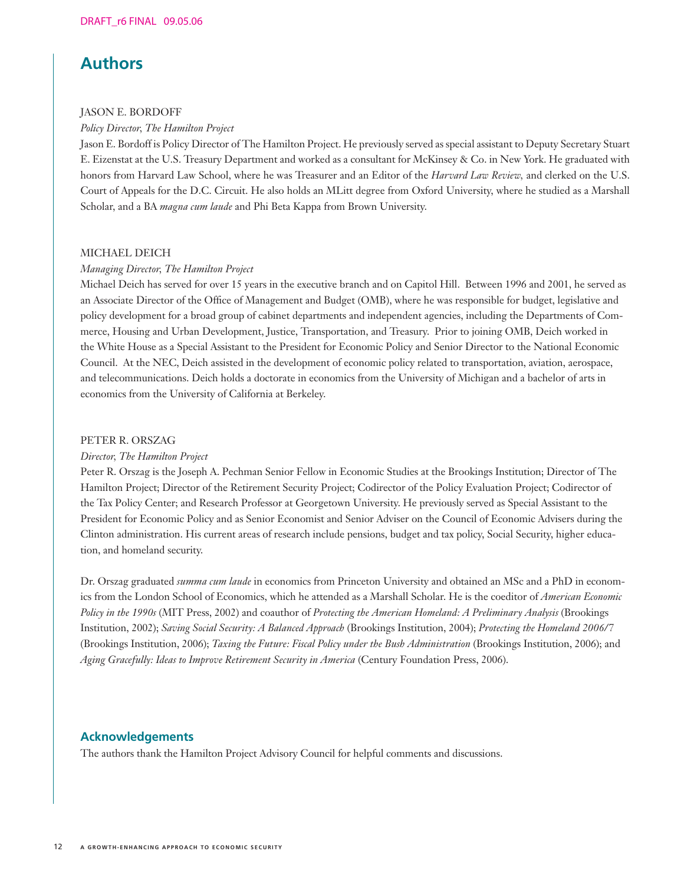# **Authors**

## JASON E. BORDOFF

*Policy Director, The Hamilton Project*

Jason E. Bordoff is Policy Director of The Hamilton Project. He previously served as special assistant to Deputy Secretary Stuart E. Eizenstat at the U.S. Treasury Department and worked as a consultant for McKinsey & Co. in New York. He graduated with honors from Harvard Law School, where he was Treasurer and an Editor of the *Harvard Law Review,* and clerked on the U.S. Court of Appeals for the D.C. Circuit. He also holds an MLitt degree from Oxford University, where he studied as a Marshall Scholar, and a BA *magna cum laude* and Phi Beta Kappa from Brown University.

## MICHAEL DEICH

## *Managing Director, The Hamilton Project*

Michael Deich has served for over 15 years in the executive branch and on Capitol Hill. Between 1996 and 2001, he served as an Associate Director of the Office of Management and Budget (OMB), where he was responsible for budget, legislative and policy development for a broad group of cabinet departments and independent agencies, including the Departments of Commerce, Housing and Urban Development, Justice, Transportation, and Treasury. Prior to joining OMB, Deich worked in the White House as a Special Assistant to the President for Economic Policy and Senior Director to the National Economic Council. At the NEC, Deich assisted in the development of economic policy related to transportation, aviation, aerospace, and telecommunications. Deich holds a doctorate in economics from the University of Michigan and a bachelor of arts in economics from the University of California at Berkeley.

### PETER R. ORSZAG

### *Director, The Hamilton Project*

Peter R. Orszag is the Joseph A. Pechman Senior Fellow in Economic Studies at the Brookings Institution; Director of The Hamilton Project; Director of the Retirement Security Project; Codirector of the Policy Evaluation Project; Codirector of the Tax Policy Center; and Research Professor at Georgetown University. He previously served as Special Assistant to the President for Economic Policy and as Senior Economist and Senior Adviser on the Council of Economic Advisers during the Clinton administration. His current areas of research include pensions, budget and tax policy, Social Security, higher education, and homeland security.

Dr. Orszag graduated *summa cum laude* in economics from Princeton University and obtained an MSc and a PhD in economics from the London School of Economics, which he attended as a Marshall Scholar. He is the coeditor of *American Economic Policy in the 1990s* (MIT Press, 2002) and coauthor of *Protecting the American Homeland: A Preliminary Analysis* (Brookings Institution, 2002); *Saving Social Security: A Balanced Approach* (Brookings Institution, 2004); *Protecting the Homeland 2006/7*  (Brookings Institution, 2006); *Taxing the Future: Fiscal Policy under the Bush Administration* (Brookings Institution, 2006); and *Aging Gracefully: Ideas to Improve Retirement Security in America* (Century Foundation Press, 2006).

## **Acknowledgements**

The authors thank the Hamilton Project Advisory Council for helpful comments and discussions.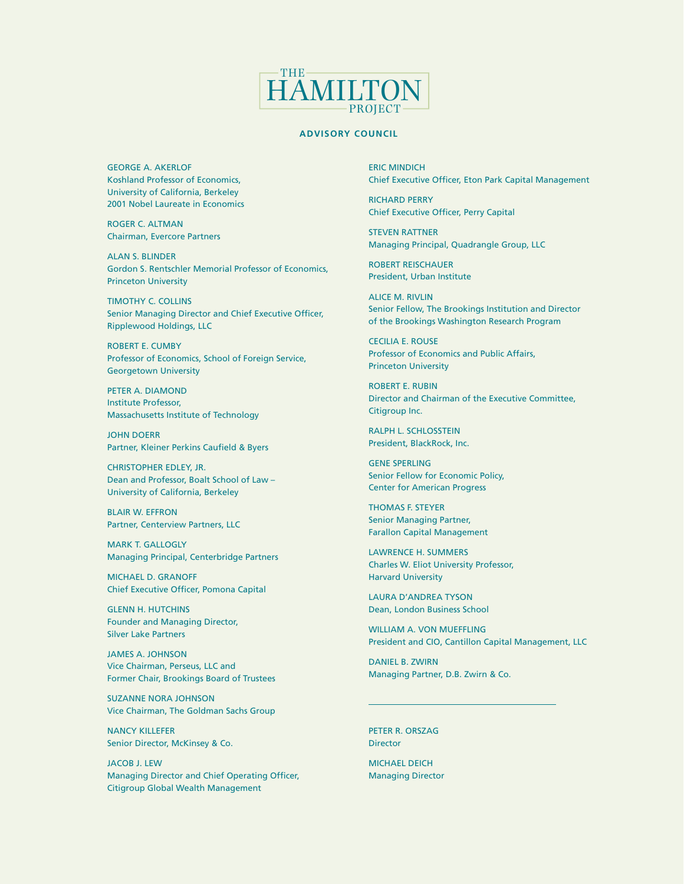

#### **ADVISORY COUNCIL**

GEORGE A. AKERLOF Koshland Professor of Economics, University of California, Berkeley 2001 Nobel Laureate in Economics

ROGER C. ALTMAN Chairman, Evercore Partners

ALAN S. BLINDER Gordon S. Rentschler Memorial Professor of Economics, Princeton University

TIMOTHY C. COLLINS Senior Managing Director and Chief Executive Officer, Ripplewood Holdings, LLC

ROBERT E. CUMBY Professor of Economics, School of Foreign Service, Georgetown University

PETER A. DIAMOND Institute Professor, Massachusetts Institute of Technology

JOHN DOERR Partner, Kleiner Perkins Caufield & Byers

CHRISTOPHER EDLEY, JR. Dean and Professor, Boalt School of Law – University of California, Berkeley

BLAIR W. EFFRON Partner, Centerview Partners, LLC

MARK T. GALLOGLY Managing Principal, Centerbridge Partners

MICHAEL D. GRANOFF Chief Executive Officer, Pomona Capital

GLENN H. HUTCHINS Founder and Managing Director, Silver Lake Partners

JAMES A. JOHNSON Vice Chairman, Perseus, LLC and Former Chair, Brookings Board of Trustees

SUZANNE NORA JOHNSON Vice Chairman, The Goldman Sachs Group

NANCY KILLEFER Senior Director, McKinsey & Co.

JACOB J. LEW Managing Director and Chief Operating Officer, Citigroup Global Wealth Management

ERIC MINDICH Chief Executive Officer, Eton Park Capital Management

RICHARD PERRY Chief Executive Officer, Perry Capital

STEVEN RATTNER Managing Principal, Quadrangle Group, LLC

ROBERT REISCHAUER President, Urban Institute

ALICE M. RIVLIN Senior Fellow, The Brookings Institution and Director of the Brookings Washington Research Program

CECILIA E. ROUSE Professor of Economics and Public Affairs, Princeton University

ROBERT E. RUBIN Director and Chairman of the Executive Committee, Citigroup Inc.

RALPH L. SCHLOSSTEIN President, BlackRock, Inc.

GENE SPERLING Senior Fellow for Economic Policy, Center for American Progress

THOMAS F. STEYER Senior Managing Partner, Farallon Capital Management

LAWRENCE H. SUMMERS Charles W. Eliot University Professor, Harvard University

LAURA D'ANDREA TYSON Dean, London Business School

WILLIAM A. VON MUEFFLING President and CIO, Cantillon Capital Management, LLC

DANIEL B. ZWIRN Managing Partner, D.B. Zwirn & Co.

PETER R. ORSZAG **Director** 

MICHAEL DEICH Managing Director